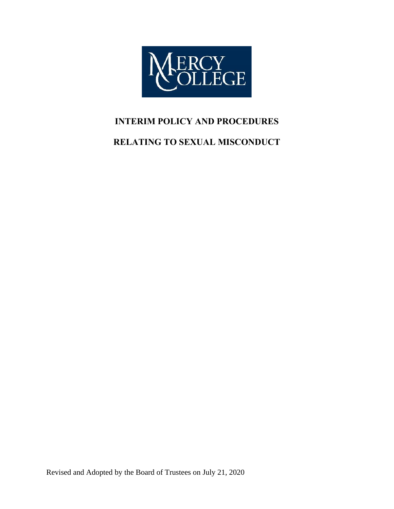

# **INTERIM POLICY AND PROCEDURES**

# **RELATING TO SEXUAL MISCONDUCT**

Revised and Adopted by the Board of Trustees on July 21, 2020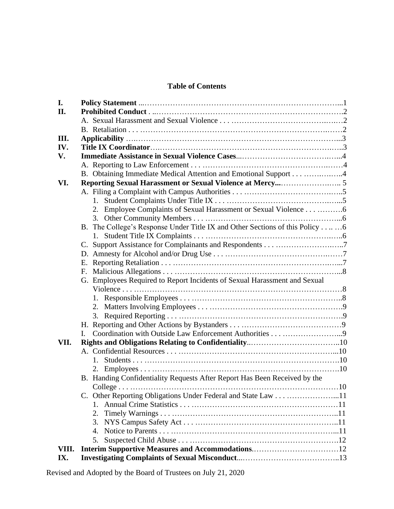# **Table of Contents**

| I.    |                                                                              |  |
|-------|------------------------------------------------------------------------------|--|
| II.   |                                                                              |  |
|       |                                                                              |  |
|       |                                                                              |  |
| Ш.    |                                                                              |  |
| IV.   |                                                                              |  |
| V.    |                                                                              |  |
|       |                                                                              |  |
|       |                                                                              |  |
| VI.   |                                                                              |  |
|       |                                                                              |  |
|       | $1_{-}$                                                                      |  |
|       |                                                                              |  |
|       |                                                                              |  |
|       | B. The College's Response Under Title IX and Other Sections of this Policy 6 |  |
|       | 1.                                                                           |  |
|       |                                                                              |  |
|       |                                                                              |  |
|       | Е.                                                                           |  |
|       |                                                                              |  |
|       | G. Employees Required to Report Incidents of Sexual Harassment and Sexual    |  |
|       |                                                                              |  |
|       |                                                                              |  |
|       |                                                                              |  |
|       |                                                                              |  |
|       |                                                                              |  |
|       | L.                                                                           |  |
| VII.  |                                                                              |  |
|       |                                                                              |  |
|       | 1.                                                                           |  |
|       |                                                                              |  |
|       | B. Handing Confidentiality Requests After Report Has Been Received by the    |  |
|       |                                                                              |  |
|       |                                                                              |  |
|       | 1.                                                                           |  |
|       | 2.                                                                           |  |
|       | 3.                                                                           |  |
|       | 4.                                                                           |  |
|       | 5.                                                                           |  |
| VIII. | Interim Supportive Measures and Accommodations12                             |  |
| IX.   |                                                                              |  |
|       |                                                                              |  |

Revised and Adopted by the Board of Trustees on July 21, 2020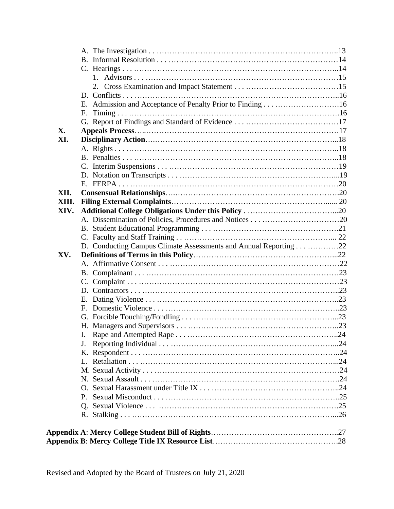|       | 2. |  |
|-------|----|--|
|       |    |  |
|       |    |  |
|       | E. |  |
|       |    |  |
| X.    |    |  |
| XI.   |    |  |
|       |    |  |
|       |    |  |
|       |    |  |
|       |    |  |
|       |    |  |
| XII.  |    |  |
| XIII. |    |  |
| XIV.  |    |  |
|       |    |  |
|       |    |  |
|       |    |  |
|       |    |  |
| XV.   |    |  |
|       |    |  |
|       |    |  |
|       |    |  |
|       |    |  |
|       |    |  |
|       |    |  |
|       |    |  |
|       |    |  |
|       |    |  |
|       | J. |  |
|       |    |  |
|       |    |  |
|       |    |  |
|       |    |  |
|       |    |  |
|       |    |  |
|       |    |  |
|       |    |  |
|       |    |  |
|       |    |  |
|       |    |  |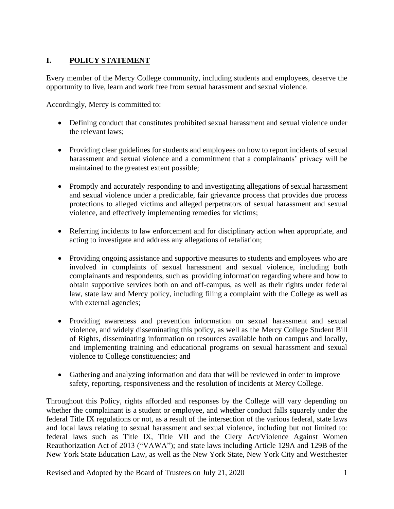# **I. POLICY STATEMENT**

Every member of the Mercy College community, including students and employees, deserve the opportunity to live, learn and work free from sexual harassment and sexual violence.

Accordingly, Mercy is committed to:

- Defining conduct that constitutes prohibited sexual harassment and sexual violence under the relevant laws;
- Providing clear guidelines for students and employees on how to report incidents of sexual harassment and sexual violence and a commitment that a complainants' privacy will be maintained to the greatest extent possible;
- Promptly and accurately responding to and investigating allegations of sexual harassment and sexual violence under a predictable, fair grievance process that provides due process protections to alleged victims and alleged perpetrators of sexual harassment and sexual violence, and effectively implementing remedies for victims;
- Referring incidents to law enforcement and for disciplinary action when appropriate, and acting to investigate and address any allegations of retaliation;
- Providing ongoing assistance and supportive measures to students and employees who are involved in complaints of sexual harassment and sexual violence, including both complainants and respondents, such as providing information regarding where and how to obtain supportive services both on and off-campus, as well as their rights under federal law, state law and Mercy policy, including filing a complaint with the College as well as with external agencies;
- Providing awareness and prevention information on sexual harassment and sexual violence, and widely disseminating this policy, as well as the Mercy College Student Bill of Rights, disseminating information on resources available both on campus and locally, and implementing training and educational programs on sexual harassment and sexual violence to College constituencies; and
- Gathering and analyzing information and data that will be reviewed in order to improve safety, reporting, responsiveness and the resolution of incidents at Mercy College.

Throughout this Policy, rights afforded and responses by the College will vary depending on whether the complainant is a student or employee, and whether conduct falls squarely under the federal Title IX regulations or not, as a result of the intersection of the various federal, state laws and local laws relating to sexual harassment and sexual violence, including but not limited to: federal laws such as Title IX, Title VII and the Clery Act/Violence Against Women Reauthorization Act of 2013 ("VAWA"); and state laws including Article 129A and 129B of the New York State Education Law, as well as the New York State, New York City and Westchester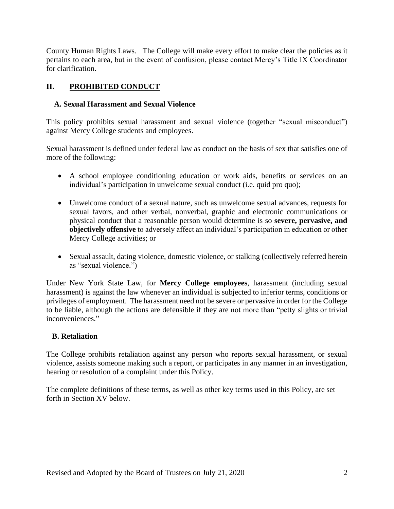County Human Rights Laws. The College will make every effort to make clear the policies as it pertains to each area, but in the event of confusion, please contact Mercy's Title IX Coordinator for clarification.

### **II. PROHIBITED CONDUCT**

### **A. Sexual Harassment and Sexual Violence**

This policy prohibits sexual harassment and sexual violence (together "sexual misconduct") against Mercy College students and employees.

Sexual harassment is defined under federal law as conduct on the basis of sex that satisfies one of more of the following:

- A school employee conditioning education or work aids, benefits or services on an individual's participation in unwelcome sexual conduct (i.e. quid pro quo);
- Unwelcome conduct of a sexual nature, such as unwelcome sexual advances, requests for sexual favors, and other verbal, nonverbal, graphic and electronic communications or physical conduct that a reasonable person would determine is so **severe, pervasive, and objectively offensive** to adversely affect an individual's participation in education or other Mercy College activities; or
- Sexual assault, dating violence, domestic violence, or stalking (collectively referred herein as "sexual violence.")

Under New York State Law, for **Mercy College employees**, harassment (including sexual harassment) is against the law whenever an individual is subjected to inferior terms, conditions or privileges of employment. The harassment need not be severe or pervasive in order for the College to be liable, although the actions are defensible if they are not more than "petty slights or trivial inconveniences."

### **B. Retaliation**

The College prohibits retaliation against any person who reports sexual harassment, or sexual violence, assists someone making such a report, or participates in any manner in an investigation, hearing or resolution of a complaint under this Policy.

The complete definitions of these terms, as well as other key terms used in this Policy, are set forth in Section XV below.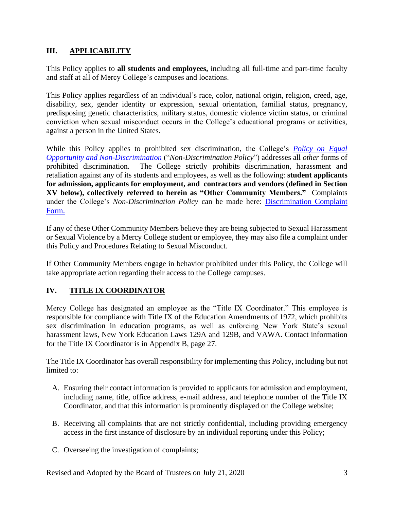### **III. APPLICABILITY**

This Policy applies to **all students and employees,** including all full-time and part-time faculty and staff at all of Mercy College's campuses and locations.

This Policy applies regardless of an individual's race, color, national origin, religion, creed, age, disability, sex, gender identity or expression, sexual orientation, familial status, pregnancy, predisposing genetic characteristics, military status, domestic violence victim status, or criminal conviction when sexual misconduct occurs in the College's educational programs or activities, against a person in the United States.

While this Policy applies to prohibited sex discrimination, the College's *[Policy on Equal](https://www.mercy.edu/about-mercy/student-affairs/education/about-mercy/sites/www.mercy.edu.about-mercy/files/about-mercy/media/browser/NonDiscriminationPolicyRevised_0.pdf)  Opportunity [and Non-Discrimination](https://www.mercy.edu/about-mercy/student-affairs/education/about-mercy/sites/www.mercy.edu.about-mercy/files/about-mercy/media/browser/NonDiscriminationPolicyRevised_0.pdf)* ("*Non-Discrimination Policy*") addresses all *other* forms of prohibited discrimination. The College strictly prohibits discrimination, harassment and retaliation against any of its students and employees, as well as the following: **student applicants for admission, applicants for employment, and contractors and vendors (defined in Section XV below), collectively referred to herein as "Other Community Members."** Complaints under the College's *Non-Discrimination Policy* can be made here: [Discrimination Complaint](https://www.mercy.edu/discrimination-complaint-form)  [Form.](https://www.mercy.edu/discrimination-complaint-form)

If any of these Other Community Members believe they are being subjected to Sexual Harassment or Sexual Violence by a Mercy College student or employee, they may also file a complaint under this Policy and Procedures Relating to Sexual Misconduct.

If Other Community Members engage in behavior prohibited under this Policy, the College will take appropriate action regarding their access to the College campuses.

### **IV. TITLE IX COORDINATOR**

Mercy College has designated an employee as the "Title IX Coordinator." This employee is responsible for compliance with Title IX of the Education Amendments of 1972, which prohibits sex discrimination in education programs, as well as enforcing New York State's sexual harassment laws, New York Education Laws 129A and 129B, and VAWA. Contact information for the Title IX Coordinator is in Appendix B, page 27.

The Title IX Coordinator has overall responsibility for implementing this Policy, including but not limited to:

- A. Ensuring their contact information is provided to applicants for admission and employment, including name, title, office address, e-mail address, and telephone number of the Title IX Coordinator, and that this information is prominently displayed on the College website;
- B. Receiving all complaints that are not strictly confidential, including providing emergency access in the first instance of disclosure by an individual reporting under this Policy;
- C. Overseeing the investigation of complaints;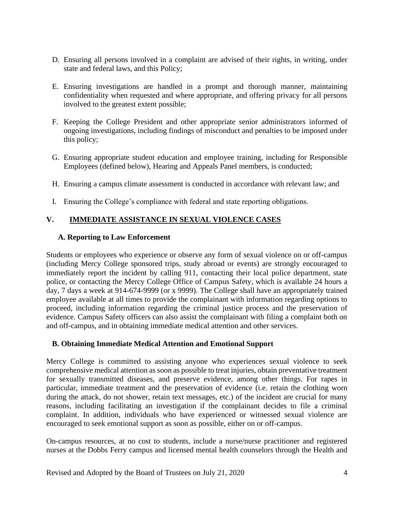- D. Ensuring all persons involved in a complaint are advised of their rights, in writing, under state and federal laws, and this Policy;
- E. Ensuring investigations are handled in a prompt and thorough manner, maintaining confidentiality when requested and where appropriate, and offering privacy for all persons involved to the greatest extent possible;
- F. Keeping the College President and other appropriate senior administrators informed of ongoing investigations, including findings of misconduct and penalties to be imposed under this policy;
- G. Ensuring appropriate student education and employee training, including for Responsible Employees (defined below), Hearing and Appeals Panel members, is conducted;
- H. Ensuring a campus climate assessment is conducted in accordance with relevant law; and
- I. Ensuring the College's compliance with federal and state reporting obligations.

### **V. IMMEDIATE ASSISTANCE IN SEXUAL VIOLENCE CASES**

#### **A. Reporting to Law Enforcement**

Students or employees who experience or observe any form of sexual violence on or off-campus (including Mercy College sponsored trips, study abroad or events) are strongly encouraged to immediately report the incident by calling 911, contacting their local police department, state police, or contacting the Mercy College Office of Campus Safety, which is available 24 hours a day, 7 days a week at 914-674-9999 (or x 9999). The College shall have an appropriately trained employee available at all times to provide the complainant with information regarding options to proceed, including information regarding the criminal justice process and the preservation of evidence. Campus Safety officers can also assist the complainant with filing a complaint both on and off-campus, and in obtaining immediate medical attention and other services.

#### **B. Obtaining Immediate Medical Attention and Emotional Support**

Mercy College is committed to assisting anyone who experiences sexual violence to seek comprehensive medical attention as soon as possible to treat injuries, obtain preventative treatment for sexually transmitted diseases, and preserve evidence, among other things. For rapes in particular, immediate treatment and the preservation of evidence (i.e. retain the clothing worn during the attack, do not shower, retain text messages, etc.) of the incident are crucial for many reasons, including facilitating an investigation if the complainant decides to file a criminal complaint. In addition, individuals who have experienced or witnessed sexual violence are encouraged to seek emotional support as soon as possible, either on or off-campus.

On-campus resources, at no cost to students, include a nurse/nurse practitioner and registered nurses at the Dobbs Ferry campus and licensed mental health counselors through the Health and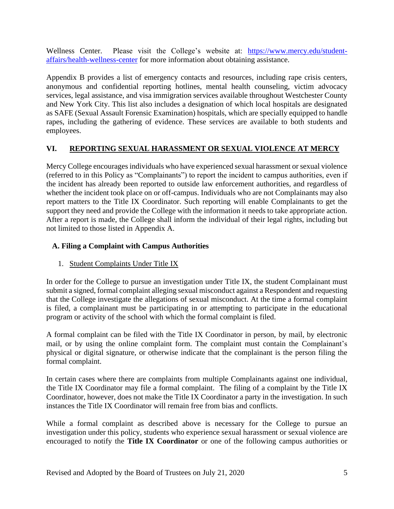Wellness Center. Please visit the College's website at: [https://www.mercy.edu/student](https://www.mercy.edu/student-affairs/health-wellness-center)[affairs/health-wellness-center](https://www.mercy.edu/student-affairs/health-wellness-center) for more information about obtaining assistance.

Appendix B provides a list of emergency contacts and resources, including rape crisis centers, anonymous and confidential reporting hotlines, mental health counseling, victim advocacy services, legal assistance, and visa immigration services available throughout Westchester County and New York City. This list also includes a designation of which local hospitals are designated as SAFE (Sexual Assault Forensic Examination) hospitals, which are specially equipped to handle rapes, including the gathering of evidence. These services are available to both students and employees.

#### **VI. REPORTING SEXUAL HARASSMENT OR SEXUAL VIOLENCE AT MERCY**

Mercy College encourages individuals who have experienced sexual harassment or sexual violence (referred to in this Policy as "Complainants") to report the incident to campus authorities, even if the incident has already been reported to outside law enforcement authorities, and regardless of whether the incident took place on or off-campus. Individuals who are not Complainants may also report matters to the Title IX Coordinator. Such reporting will enable Complainants to get the support they need and provide the College with the information it needs to take appropriate action. After a report is made, the College shall inform the individual of their legal rights, including but not limited to those listed in Appendix A.

### **A. Filing a Complaint with Campus Authorities**

1. Student Complaints Under Title IX

In order for the College to pursue an investigation under Title IX, the student Complainant must submit a signed, formal complaint alleging sexual misconduct against a Respondent and requesting that the College investigate the allegations of sexual misconduct. At the time a formal complaint is filed, a complainant must be participating in or attempting to participate in the educational program or activity of the school with which the formal complaint is filed.

A formal complaint can be filed with the Title IX Coordinator in person, by mail, by electronic mail, or by using the online complaint form. The complaint must contain the Complainant's physical or digital signature, or otherwise indicate that the complainant is the person filing the formal complaint.

In certain cases where there are complaints from multiple Complainants against one individual, the Title IX Coordinator may file a formal complaint. The filing of a complaint by the Title IX Coordinator, however, does not make the Title IX Coordinator a party in the investigation. In such instances the Title IX Coordinator will remain free from bias and conflicts.

While a formal complaint as described above is necessary for the College to pursue an investigation under this policy, students who experience sexual harassment or sexual violence are encouraged to notify the **Title IX Coordinator** or one of the following campus authorities or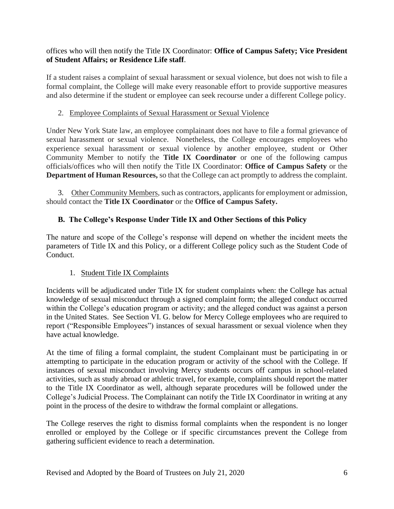#### offices who will then notify the Title IX Coordinator: **Office of Campus Safety; Vice President of Student Affairs; or Residence Life staff**.

If a student raises a complaint of sexual harassment or sexual violence, but does not wish to file a formal complaint, the College will make every reasonable effort to provide supportive measures and also determine if the student or employee can seek recourse under a different College policy.

### 2. Employee Complaints of Sexual Harassment or Sexual Violence

Under New York State law, an employee complainant does not have to file a formal grievance of sexual harassment or sexual violence. Nonetheless, the College encourages employees who experience sexual harassment or sexual violence by another employee, student or Other Community Member to notify the **Title IX Coordinator** or one of the following campus officials/offices who will then notify the Title IX Coordinator: **Office of Campus Safety** or the **Department of Human Resources,** so that the College can act promptly to address the complaint.

3. Other Community Members, such as contractors, applicants for employment or admission, should contact the **Title IX Coordinator** or the **Office of Campus Safety.** 

## **B. The College's Response Under Title IX and Other Sections of this Policy**

The nature and scope of the College's response will depend on whether the incident meets the parameters of Title IX and this Policy, or a different College policy such as the Student Code of Conduct.

### 1. Student Title IX Complaints

Incidents will be adjudicated under Title IX for student complaints when: the College has actual knowledge of sexual misconduct through a signed complaint form; the alleged conduct occurred within the College's education program or activity; and the alleged conduct was against a person in the United States. See Section VI. G. below for Mercy College employees who are required to report ("Responsible Employees") instances of sexual harassment or sexual violence when they have actual knowledge.

At the time of filing a formal complaint, the student Complainant must be participating in or attempting to participate in the education program or activity of the school with the College. If instances of sexual misconduct involving Mercy students occurs off campus in school-related activities, such as study abroad or athletic travel, for example, complaints should report the matter to the Title IX Coordinator as well, although separate procedures will be followed under the College's Judicial Process. The Complainant can notify the Title IX Coordinator in writing at any point in the process of the desire to withdraw the formal complaint or allegations.

The College reserves the right to dismiss formal complaints when the respondent is no longer enrolled or employed by the College or if specific circumstances prevent the College from gathering sufficient evidence to reach a determination.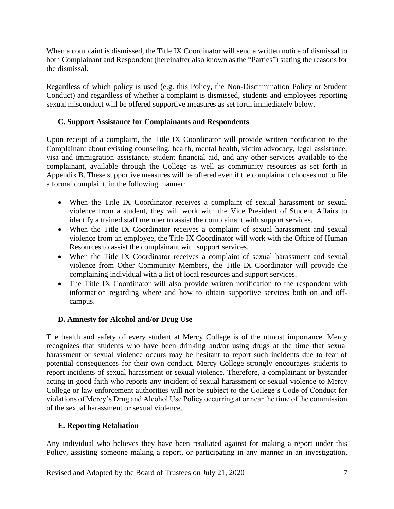When a complaint is dismissed, the Title IX Coordinator will send a written notice of dismissal to both Complainant and Respondent (hereinafter also known as the "Parties") stating the reasons for the dismissal.

Regardless of which policy is used (e.g. this Policy, the Non-Discrimination Policy or Student Conduct) and regardless of whether a complaint is dismissed, students and employees reporting sexual misconduct will be offered supportive measures as set forth immediately below.

### **C. Support Assistance for Complainants and Respondents**

Upon receipt of a complaint, the Title IX Coordinator will provide written notification to the Complainant about existing counseling, health, mental health, victim advocacy, legal assistance, visa and immigration assistance, student financial aid, and any other services available to the complainant, available through the College as well as community resources as set forth in Appendix B. These supportive measures will be offered even if the complainant chooses not to file a formal complaint, in the following manner:

- When the Title IX Coordinator receives a complaint of sexual harassment or sexual violence from a student, they will work with the Vice President of Student Affairs to identify a trained staff member to assist the complainant with support services.
- When the Title IX Coordinator receives a complaint of sexual harassment and sexual violence from an employee, the Title IX Coordinator will work with the Office of Human Resources to assist the complainant with support services.
- When the Title IX Coordinator receives a complaint of sexual harassment and sexual violence from Other Community Members, the Title IX Coordinator will provide the complaining individual with a list of local resources and support services.
- The Title IX Coordinator will also provide written notification to the respondent with information regarding where and how to obtain supportive services both on and offcampus.

#### **D. Amnesty for Alcohol and/or Drug Use**

The health and safety of every student at Mercy College is of the utmost importance. Mercy recognizes that students who have been drinking and/or using drugs at the time that sexual harassment or sexual violence occurs may be hesitant to report such incidents due to fear of potential consequences for their own conduct. Mercy College strongly encourages students to report incidents of sexual harassment or sexual violence. Therefore, a complainant or bystander acting in good faith who reports any incident of sexual harassment or sexual violence to Mercy College or law enforcement authorities will not be subject to the College's Code of Conduct for violations of Mercy's Drug and Alcohol Use Policy occurring at or near the time of the commission of the sexual harassment or sexual violence.

#### **E. Reporting Retaliation**

Any individual who believes they have been retaliated against for making a report under this Policy, assisting someone making a report, or participating in any manner in an investigation,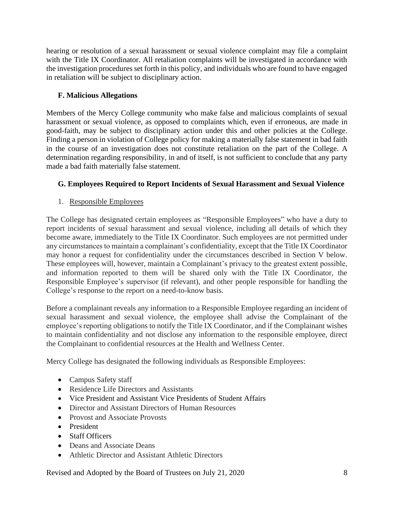hearing or resolution of a sexual harassment or sexual violence complaint may file a complaint with the Title IX Coordinator. All retaliation complaints will be investigated in accordance with the investigation procedures set forth in this policy, and individuals who are found to have engaged in retaliation will be subject to disciplinary action.

### **F. Malicious Allegations**

Members of the Mercy College community who make false and malicious complaints of sexual harassment or sexual violence, as opposed to complaints which, even if erroneous, are made in good-faith, may be subject to disciplinary action under this and other policies at the College. Finding a person in violation of College policy for making a materially false statement in bad faith in the course of an investigation does not constitute retaliation on the part of the College. A determination regarding responsibility, in and of itself, is not sufficient to conclude that any party made a bad faith materially false statement.

### **G. Employees Required to Report Incidents of Sexual Harassment and Sexual Violence**

#### 1. Responsible Employees

The College has designated certain employees as "Responsible Employees" who have a duty to report incidents of sexual harassment and sexual violence, including all details of which they become aware, immediately to the Title IX Coordinator. Such employees are not permitted under any circumstances to maintain a complainant's confidentiality, except that the Title IX Coordinator may honor a request for confidentiality under the circumstances described in Section V below. These employees will, however, maintain a Complainant's privacy to the greatest extent possible, and information reported to them will be shared only with the Title IX Coordinator, the Responsible Employee's supervisor (if relevant), and other people responsible for handling the College's response to the report on a need-to-know basis.

Before a complainant reveals any information to a Responsible Employee regarding an incident of sexual harassment and sexual violence, the employee shall advise the Complainant of the employee's reporting obligations to notify the Title IX Coordinator, and if the Complainant wishes to maintain confidentiality and not disclose any information to the responsible employee, direct the Complainant to confidential resources at the Health and Wellness Center.

Mercy College has designated the following individuals as Responsible Employees:

- Campus Safety staff
- Residence Life Directors and Assistants
- Vice President and Assistant Vice Presidents of Student Affairs
- Director and Assistant Directors of Human Resources
- Provost and Associate Provosts
- President
- Staff Officers
- Deans and Associate Deans
- Athletic Director and Assistant Athletic Directors

Revised and Adopted by the Board of Trustees on July 21, 2020 8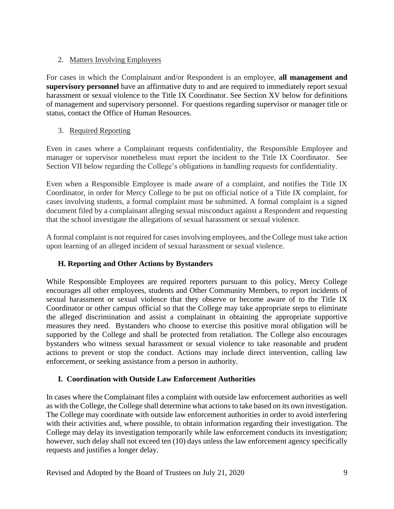### 2. Matters Involving Employees

For cases in which the Complainant and/or Respondent is an employee, **all management and supervisory personnel** have an affirmative duty to and are required to immediately report sexual harassment or sexual violence to the Title IX Coordinator. See Section XV below for definitions of management and supervisory personnel. For questions regarding supervisor or manager title or status, contact the Office of Human Resources.

### 3. Required Reporting

Even in cases where a Complainant requests confidentiality, the Responsible Employee and manager or supervisor nonetheless must report the incident to the Title IX Coordinator. See Section VII below regarding the College's obligations in handling requests for confidentiality.

Even when a Responsible Employee is made aware of a complaint, and notifies the Title IX Coordinator, in order for Mercy College to be put on official notice of a Title IX complaint, for cases involving students, a formal complaint must be submitted. A formal complaint is a signed document filed by a complainant alleging sexual misconduct against a Respondent and requesting that the school investigate the allegations of sexual harassment or sexual violence.

A formal complaint is not required for cases involving employees, and the College must take action upon learning of an alleged incident of sexual harassment or sexual violence.

### **H. Reporting and Other Actions by Bystanders**

While Responsible Employees are required reporters pursuant to this policy, Mercy College encourages all other employees, students and Other Community Members, to report incidents of sexual harassment or sexual violence that they observe or become aware of to the Title IX Coordinator or other campus official so that the College may take appropriate steps to eliminate the alleged discrimination and assist a complainant in obtaining the appropriate supportive measures they need. Bystanders who choose to exercise this positive moral obligation will be supported by the College and shall be protected from retaliation. The College also encourages bystanders who witness sexual harassment or sexual violence to take reasonable and prudent actions to prevent or stop the conduct. Actions may include direct intervention, calling law enforcement, or seeking assistance from a person in authority.

#### **I. Coordination with Outside Law Enforcement Authorities**

In cases where the Complainant files a complaint with outside law enforcement authorities as well as with the College, the College shall determine what actions to take based on its own investigation. The College may coordinate with outside law enforcement authorities in order to avoid interfering with their activities and, where possible, to obtain information regarding their investigation. The College may delay its investigation temporarily while law enforcement conducts its investigation; however, such delay shall not exceed ten (10) days unless the law enforcement agency specifically requests and justifies a longer delay.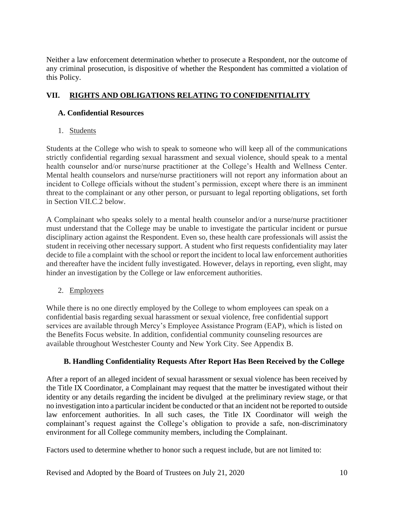Neither a law enforcement determination whether to prosecute a Respondent, nor the outcome of any criminal prosecution, is dispositive of whether the Respondent has committed a violation of this Policy.

# **VII. RIGHTS AND OBLIGATIONS RELATING TO CONFIDENITIALITY**

### **A. Confidential Resources**

1. Students

Students at the College who wish to speak to someone who will keep all of the communications strictly confidential regarding sexual harassment and sexual violence, should speak to a mental health counselor and/or nurse/nurse practitioner at the College's Health and Wellness Center. Mental health counselors and nurse/nurse practitioners will not report any information about an incident to College officials without the student's permission, except where there is an imminent threat to the complainant or any other person, or pursuant to legal reporting obligations, set forth in Section VII.C.2 below.

A Complainant who speaks solely to a mental health counselor and/or a nurse/nurse practitioner must understand that the College may be unable to investigate the particular incident or pursue disciplinary action against the Respondent. Even so, these health care professionals will assist the student in receiving other necessary support. A student who first requests confidentiality may later decide to file a complaint with the school or report the incident to local law enforcement authorities and thereafter have the incident fully investigated. However, delays in reporting, even slight, may hinder an investigation by the College or law enforcement authorities.

2. Employees

While there is no one directly employed by the College to whom employees can speak on a confidential basis regarding sexual harassment or sexual violence, free confidential support services are available through Mercy's Employee Assistance Program (EAP), which is listed on the Benefits Focus website. In addition, confidential community counseling resources are available throughout Westchester County and New York City. See Appendix B.

### **B. Handling Confidentiality Requests After Report Has Been Received by the College**

After a report of an alleged incident of sexual harassment or sexual violence has been received by the Title IX Coordinator, a Complainant may request that the matter be investigated without their identity or any details regarding the incident be divulged at the preliminary review stage, or that no investigation into a particular incident be conducted or that an incident not be reported to outside law enforcement authorities. In all such cases, the Title IX Coordinator will weigh the complainant's request against the College's obligation to provide a safe, non-discriminatory environment for all College community members, including the Complainant.

Factors used to determine whether to honor such a request include, but are not limited to: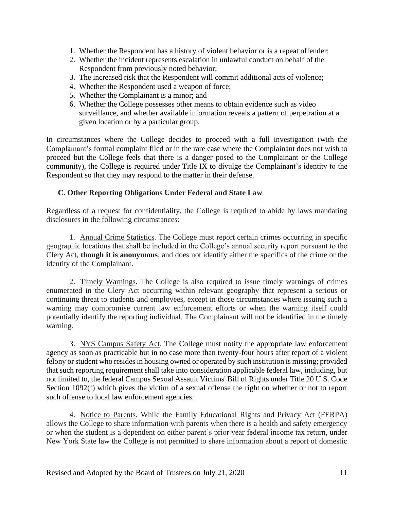- 1. Whether the Respondent has a history of violent behavior or is a repeat offender;
- 2. Whether the incident represents escalation in unlawful conduct on behalf of the Respondent from previously noted behavior;
- 3. The increased risk that the Respondent will commit additional acts of violence;
- 4. Whether the Respondent used a weapon of force;
- 5. Whether the Complainant is a minor; and
- 6. Whether the College possesses other means to obtain evidence such as video surveillance, and whether available information reveals a pattern of perpetration at a given location or by a particular group.

In circumstances where the College decides to proceed with a full investigation (with the Complainant's formal complaint filed or in the rare case where the Complainant does not wish to proceed but the College feels that there is a danger posed to the Complainant or the College community), the College is required under Title IX to divulge the Complainant's identity to the Respondent so that they may respond to the matter in their defense.

#### **C. Other Reporting Obligations Under Federal and State Law**

Regardless of a request for confidentiality, the College is required to abide by laws mandating disclosures in the following circumstances:

1. Annual Crime Statistics. The College must report certain crimes occurring in specific geographic locations that shall be included in the College's annual security report pursuant to the Clery Act, **though it is anonymous**, and does not identify either the specifics of the crime or the identity of the Complainant.

2. Timely Warnings. The College is also required to issue timely warnings of crimes enumerated in the Clery Act occurring within relevant geography that represent a serious or continuing threat to students and employees, except in those circumstances where issuing such a warning may compromise current law enforcement efforts or when the warning itself could potentially identify the reporting individual. The Complainant will not be identified in the timely warning.

3. NYS Campus Safety Act. The College must notify the appropriate law enforcement agency as soon as practicable but in no case more than twenty-four hours after report of a violent felony or student who resides in housing owned or operated by such institution is missing; provided that such reporting requirement shall take into consideration applicable federal law, including, but not limited to, the federal Campus Sexual Assault Victims' Bill of Rights under Title 20 U.S. Code Section 1092(f) which gives the victim of a sexual offense the right on whether or not to report such offense to local law enforcement agencies.

4. Notice to Parents. While the Family Educational Rights and Privacy Act (FERPA) allows the College to share information with parents when there is a health and safety emergency or when the student is a dependent on either parent's prior year federal income tax return, under New York State law the College is not permitted to share information about a report of domestic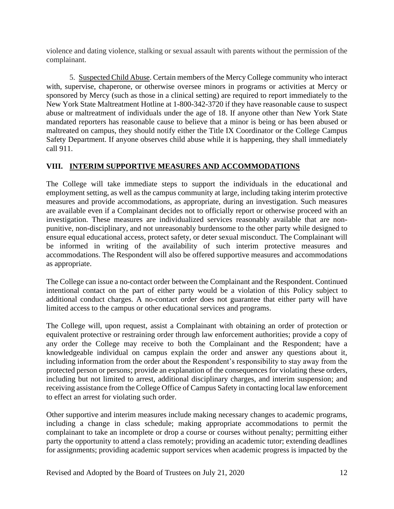violence and dating violence, stalking or sexual assault with parents without the permission of the complainant.

5. Suspected Child Abuse. Certain members of the Mercy College community who interact with, supervise, chaperone, or otherwise oversee minors in programs or activities at Mercy or sponsored by Mercy (such as those in a clinical setting) are required to report immediately to the New York State Maltreatment Hotline at 1-800-342-3720 if they have reasonable cause to suspect abuse or maltreatment of individuals under the age of 18. If anyone other than New York State mandated reporters has reasonable cause to believe that a minor is being or has been abused or maltreated on campus, they should notify either the Title IX Coordinator or the College Campus Safety Department. If anyone observes child abuse while it is happening, they shall immediately call 911.

### **VIII. INTERIM SUPPORTIVE MEASURES AND ACCOMMODATIONS**

The College will take immediate steps to support the individuals in the educational and employment setting, as well as the campus community at large, including taking interim protective measures and provide accommodations, as appropriate, during an investigation. Such measures are available even if a Complainant decides not to officially report or otherwise proceed with an investigation. These measures are individualized services reasonably available that are nonpunitive, non-disciplinary, and not unreasonably burdensome to the other party while designed to ensure equal educational access, protect safety, or deter sexual misconduct. The Complainant will be informed in writing of the availability of such interim protective measures and accommodations. The Respondent will also be offered supportive measures and accommodations as appropriate.

The College can issue a no-contact order between the Complainant and the Respondent. Continued intentional contact on the part of either party would be a violation of this Policy subject to additional conduct charges. A no-contact order does not guarantee that either party will have limited access to the campus or other educational services and programs.

The College will, upon request, assist a Complainant with obtaining an order of protection or equivalent protective or restraining order through law enforcement authorities; provide a copy of any order the College may receive to both the Complainant and the Respondent; have a knowledgeable individual on campus explain the order and answer any questions about it, including information from the order about the Respondent's responsibility to stay away from the protected person or persons; provide an explanation of the consequences for violating these orders, including but not limited to arrest, additional disciplinary charges, and interim suspension; and receiving assistance from the College Office of Campus Safety in contacting local law enforcement to effect an arrest for violating such order.

Other supportive and interim measures include making necessary changes to academic programs, including a change in class schedule; making appropriate accommodations to permit the complainant to take an incomplete or drop a course or courses without penalty; permitting either party the opportunity to attend a class remotely; providing an academic tutor; extending deadlines for assignments; providing academic support services when academic progress is impacted by the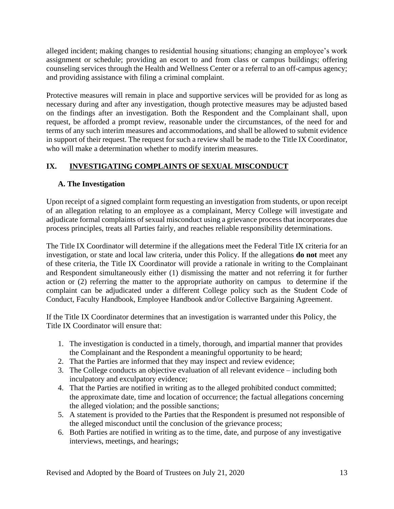alleged incident; making changes to residential housing situations; changing an employee's work assignment or schedule; providing an escort to and from class or campus buildings; offering counseling services through the Health and Wellness Center or a referral to an off-campus agency; and providing assistance with filing a criminal complaint.

Protective measures will remain in place and supportive services will be provided for as long as necessary during and after any investigation, though protective measures may be adjusted based on the findings after an investigation. Both the Respondent and the Complainant shall, upon request, be afforded a prompt review, reasonable under the circumstances, of the need for and terms of any such interim measures and accommodations, and shall be allowed to submit evidence in support of their request. The request for such a review shall be made to the Title IX Coordinator, who will make a determination whether to modify interim measures.

# **IX. INVESTIGATING COMPLAINTS OF SEXUAL MISCONDUCT**

### **A. The Investigation**

Upon receipt of a signed complaint form requesting an investigation from students, or upon receipt of an allegation relating to an employee as a complainant, Mercy College will investigate and adjudicate formal complaints of sexual misconduct using a grievance process that incorporates due process principles, treats all Parties fairly, and reaches reliable responsibility determinations.

The Title IX Coordinator will determine if the allegations meet the Federal Title IX criteria for an investigation, or state and local law criteria, under this Policy. If the allegations **do not** meet any of these criteria, the Title IX Coordinator will provide a rationale in writing to the Complainant and Respondent simultaneously either (1) dismissing the matter and not referring it for further action or (2) referring the matter to the appropriate authority on campus to determine if the complaint can be adjudicated under a different College policy such as the Student Code of Conduct, Faculty Handbook, Employee Handbook and/or Collective Bargaining Agreement.

If the Title IX Coordinator determines that an investigation is warranted under this Policy, the Title IX Coordinator will ensure that:

- 1. The investigation is conducted in a timely, thorough, and impartial manner that provides the Complainant and the Respondent a meaningful opportunity to be heard;
- 2. That the Parties are informed that they may inspect and review evidence;
- 3. The College conducts an objective evaluation of all relevant evidence including both inculpatory and exculpatory evidence;
- 4. That the Parties are notified in writing as to the alleged prohibited conduct committed; the approximate date, time and location of occurrence; the factual allegations concerning the alleged violation; and the possible sanctions;
- 5. A statement is provided to the Parties that the Respondent is presumed not responsible of the alleged misconduct until the conclusion of the grievance process;
- 6. Both Parties are notified in writing as to the time, date, and purpose of any investigative interviews, meetings, and hearings;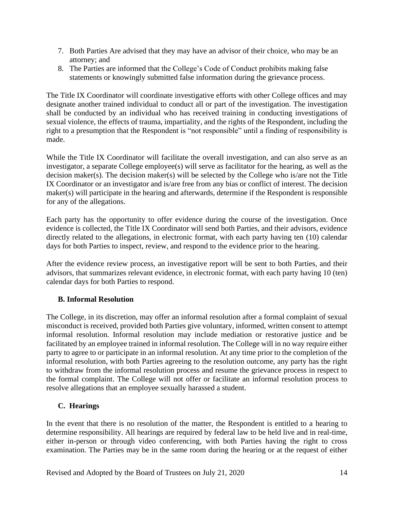- 7. Both Parties Are advised that they may have an advisor of their choice, who may be an attorney; and
- 8. The Parties are informed that the College's Code of Conduct prohibits making false statements or knowingly submitted false information during the grievance process.

The Title IX Coordinator will coordinate investigative efforts with other College offices and may designate another trained individual to conduct all or part of the investigation. The investigation shall be conducted by an individual who has received training in conducting investigations of sexual violence, the effects of trauma, impartiality, and the rights of the Respondent, including the right to a presumption that the Respondent is "not responsible" until a finding of responsibility is made.

While the Title IX Coordinator will facilitate the overall investigation, and can also serve as an investigator, a separate College employee(s) will serve as facilitator for the hearing, as well as the decision maker(s). The decision maker(s) will be selected by the College who is/are not the Title IX Coordinator or an investigator and is/are free from any bias or conflict of interest. The decision maker(s) will participate in the hearing and afterwards, determine if the Respondent is responsible for any of the allegations.

Each party has the opportunity to offer evidence during the course of the investigation. Once evidence is collected, the Title IX Coordinator will send both Parties, and their advisors, evidence directly related to the allegations, in electronic format, with each party having ten (10) calendar days for both Parties to inspect, review, and respond to the evidence prior to the hearing.

After the evidence review process, an investigative report will be sent to both Parties, and their advisors, that summarizes relevant evidence, in electronic format, with each party having 10 (ten) calendar days for both Parties to respond.

#### **B. Informal Resolution**

The College, in its discretion, may offer an informal resolution after a formal complaint of sexual misconduct is received, provided both Parties give voluntary, informed, written consent to attempt informal resolution. Informal resolution may include mediation or restorative justice and be facilitated by an employee trained in informal resolution. The College will in no way require either party to agree to or participate in an informal resolution. At any time prior to the completion of the informal resolution, with both Parties agreeing to the resolution outcome, any party has the right to withdraw from the informal resolution process and resume the grievance process in respect to the formal complaint. The College will not offer or facilitate an informal resolution process to resolve allegations that an employee sexually harassed a student.

#### **C. Hearings**

In the event that there is no resolution of the matter, the Respondent is entitled to a hearing to determine responsibility. All hearings are required by federal law to be held live and in real-time, either in-person or through video conferencing, with both Parties having the right to cross examination. The Parties may be in the same room during the hearing or at the request of either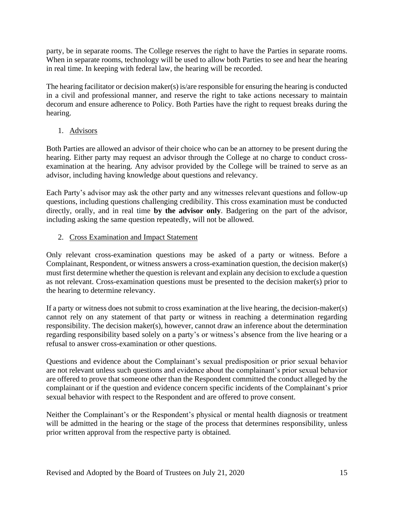party, be in separate rooms. The College reserves the right to have the Parties in separate rooms. When in separate rooms, technology will be used to allow both Parties to see and hear the hearing in real time. In keeping with federal law, the hearing will be recorded.

The hearing facilitator or decision maker(s) is/are responsible for ensuring the hearing is conducted in a civil and professional manner, and reserve the right to take actions necessary to maintain decorum and ensure adherence to Policy. Both Parties have the right to request breaks during the hearing.

1. Advisors

Both Parties are allowed an advisor of their choice who can be an attorney to be present during the hearing. Either party may request an advisor through the College at no charge to conduct crossexamination at the hearing. Any advisor provided by the College will be trained to serve as an advisor, including having knowledge about questions and relevancy.

Each Party's advisor may ask the other party and any witnesses relevant questions and follow-up questions, including questions challenging credibility. This cross examination must be conducted directly, orally, and in real time **by the advisor only**. Badgering on the part of the advisor, including asking the same question repeatedly, will not be allowed.

### 2. Cross Examination and Impact Statement

Only relevant cross-examination questions may be asked of a party or witness. Before a Complainant, Respondent, or witness answers a cross-examination question, the decision maker(s) must first determine whether the question is relevant and explain any decision to exclude a question as not relevant. Cross-examination questions must be presented to the decision maker(s) prior to the hearing to determine relevancy.

If a party or witness does not submit to cross examination at the live hearing, the decision-maker(s) cannot rely on any statement of that party or witness in reaching a determination regarding responsibility. The decision maker(s), however, cannot draw an inference about the determination regarding responsibility based solely on a party's or witness's absence from the live hearing or a refusal to answer cross-examination or other questions.

Questions and evidence about the Complainant's sexual predisposition or prior sexual behavior are not relevant unless such questions and evidence about the complainant's prior sexual behavior are offered to prove that someone other than the Respondent committed the conduct alleged by the complainant or if the question and evidence concern specific incidents of the Complainant's prior sexual behavior with respect to the Respondent and are offered to prove consent.

Neither the Complainant's or the Respondent's physical or mental health diagnosis or treatment will be admitted in the hearing or the stage of the process that determines responsibility, unless prior written approval from the respective party is obtained.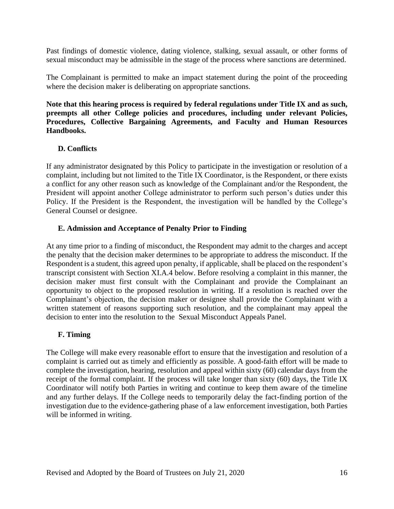Past findings of domestic violence, dating violence, stalking, sexual assault, or other forms of sexual misconduct may be admissible in the stage of the process where sanctions are determined.

The Complainant is permitted to make an impact statement during the point of the proceeding where the decision maker is deliberating on appropriate sanctions.

**Note that this hearing process is required by federal regulations under Title IX and as such, preempts all other College policies and procedures, including under relevant Policies, Procedures, Collective Bargaining Agreements, and Faculty and Human Resources Handbooks.** 

#### **D. Conflicts**

If any administrator designated by this Policy to participate in the investigation or resolution of a complaint, including but not limited to the Title IX Coordinator, is the Respondent, or there exists a conflict for any other reason such as knowledge of the Complainant and/or the Respondent, the President will appoint another College administrator to perform such person's duties under this Policy. If the President is the Respondent, the investigation will be handled by the College's General Counsel or designee.

#### **E. Admission and Acceptance of Penalty Prior to Finding**

At any time prior to a finding of misconduct, the Respondent may admit to the charges and accept the penalty that the decision maker determines to be appropriate to address the misconduct. If the Respondent is a student, this agreed upon penalty, if applicable, shall be placed on the respondent's transcript consistent with Section XI.A.4 below. Before resolving a complaint in this manner, the decision maker must first consult with the Complainant and provide the Complainant an opportunity to object to the proposed resolution in writing. If a resolution is reached over the Complainant's objection, the decision maker or designee shall provide the Complainant with a written statement of reasons supporting such resolution, and the complainant may appeal the decision to enter into the resolution to the Sexual Misconduct Appeals Panel.

#### **F. Timing**

The College will make every reasonable effort to ensure that the investigation and resolution of a complaint is carried out as timely and efficiently as possible. A good-faith effort will be made to complete the investigation, hearing, resolution and appeal within sixty (60) calendar days from the receipt of the formal complaint. If the process will take longer than sixty (60) days, the Title IX Coordinator will notify both Parties in writing and continue to keep them aware of the timeline and any further delays. If the College needs to temporarily delay the fact-finding portion of the investigation due to the evidence-gathering phase of a law enforcement investigation, both Parties will be informed in writing.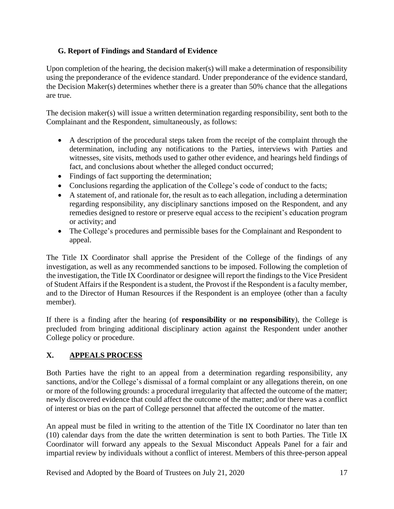### **G. Report of Findings and Standard of Evidence**

Upon completion of the hearing, the decision maker(s) will make a determination of responsibility using the preponderance of the evidence standard. Under preponderance of the evidence standard, the Decision Maker(s) determines whether there is a greater than 50% chance that the allegations are true.

The decision maker(s) will issue a written determination regarding responsibility, sent both to the Complainant and the Respondent, simultaneously, as follows:

- A description of the procedural steps taken from the receipt of the complaint through the determination, including any notifications to the Parties, interviews with Parties and witnesses, site visits, methods used to gather other evidence, and hearings held findings of fact, and conclusions about whether the alleged conduct occurred;
- Findings of fact supporting the determination;
- Conclusions regarding the application of the College's code of conduct to the facts;
- A statement of, and rationale for, the result as to each allegation, including a determination regarding responsibility, any disciplinary sanctions imposed on the Respondent, and any remedies designed to restore or preserve equal access to the recipient's education program or activity; and
- The College's procedures and permissible bases for the Complainant and Respondent to appeal.

The Title IX Coordinator shall apprise the President of the College of the findings of any investigation, as well as any recommended sanctions to be imposed. Following the completion of the investigation, the Title IX Coordinator or designee will report the findings to the Vice President of Student Affairs if the Respondent is a student, the Provost if the Respondent is a faculty member, and to the Director of Human Resources if the Respondent is an employee (other than a faculty member).

If there is a finding after the hearing (of **responsibility** or **no responsibility**), the College is precluded from bringing additional disciplinary action against the Respondent under another College policy or procedure.

# **X. APPEALS PROCESS**

Both Parties have the right to an appeal from a determination regarding responsibility, any sanctions, and/or the College's dismissal of a formal complaint or any allegations therein, on one or more of the following grounds: a procedural irregularity that affected the outcome of the matter; newly discovered evidence that could affect the outcome of the matter; and/or there was a conflict of interest or bias on the part of College personnel that affected the outcome of the matter.

An appeal must be filed in writing to the attention of the Title IX Coordinator no later than ten (10) calendar days from the date the written determination is sent to both Parties. The Title IX Coordinator will forward any appeals to the Sexual Misconduct Appeals Panel for a fair and impartial review by individuals without a conflict of interest. Members of this three-person appeal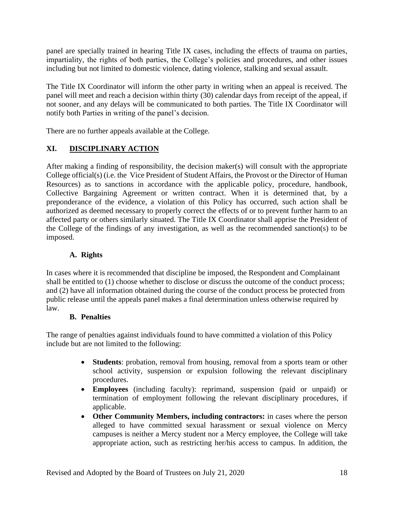panel are specially trained in hearing Title IX cases, including the effects of trauma on parties, impartiality, the rights of both parties, the College's policies and procedures, and other issues including but not limited to domestic violence, dating violence, stalking and sexual assault.

The Title IX Coordinator will inform the other party in writing when an appeal is received. The panel will meet and reach a decision within thirty (30) calendar days from receipt of the appeal, if not sooner, and any delays will be communicated to both parties. The Title IX Coordinator will notify both Parties in writing of the panel's decision.

There are no further appeals available at the College.

### **XI. DISCIPLINARY ACTION**

After making a finding of responsibility, the decision maker(s) will consult with the appropriate College official(s) (i.e. the Vice President of Student Affairs, the Provost or the Director of Human Resources) as to sanctions in accordance with the applicable policy, procedure, handbook, Collective Bargaining Agreement or written contract. When it is determined that, by a preponderance of the evidence, a violation of this Policy has occurred, such action shall be authorized as deemed necessary to properly correct the effects of or to prevent further harm to an affected party or others similarly situated. The Title IX Coordinator shall apprise the President of the College of the findings of any investigation, as well as the recommended sanction(s) to be imposed.

#### **A. Rights**

In cases where it is recommended that discipline be imposed, the Respondent and Complainant shall be entitled to (1) choose whether to disclose or discuss the outcome of the conduct process; and (2) have all information obtained during the course of the conduct process be protected from public release until the appeals panel makes a final determination unless otherwise required by law.

#### **B. Penalties**

The range of penalties against individuals found to have committed a violation of this Policy include but are not limited to the following:

- **Students**: probation, removal from housing, removal from a sports team or other school activity, suspension or expulsion following the relevant disciplinary procedures.
- **Employees** (including faculty): reprimand, suspension (paid or unpaid) or termination of employment following the relevant disciplinary procedures, if applicable.
- **Other Community Members, including contractors:** in cases where the person alleged to have committed sexual harassment or sexual violence on Mercy campuses is neither a Mercy student nor a Mercy employee, the College will take appropriate action, such as restricting her/his access to campus. In addition, the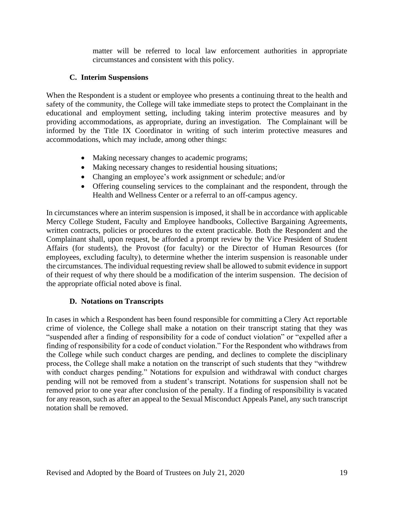matter will be referred to local law enforcement authorities in appropriate circumstances and consistent with this policy.

#### **C. Interim Suspensions**

When the Respondent is a student or employee who presents a continuing threat to the health and safety of the community, the College will take immediate steps to protect the Complainant in the educational and employment setting, including taking interim protective measures and by providing accommodations, as appropriate, during an investigation. The Complainant will be informed by the Title IX Coordinator in writing of such interim protective measures and accommodations, which may include, among other things:

- Making necessary changes to academic programs;
- Making necessary changes to residential housing situations;
- Changing an employee's work assignment or schedule; and/or
- Offering counseling services to the complainant and the respondent, through the Health and Wellness Center or a referral to an off-campus agency.

In circumstances where an interim suspension is imposed, it shall be in accordance with applicable Mercy College Student, Faculty and Employee handbooks, Collective Bargaining Agreements, written contracts, policies or procedures to the extent practicable. Both the Respondent and the Complainant shall, upon request, be afforded a prompt review by the Vice President of Student Affairs (for students), the Provost (for faculty) or the Director of Human Resources (for employees, excluding faculty), to determine whether the interim suspension is reasonable under the circumstances. The individual requesting review shall be allowed to submit evidence in support of their request of why there should be a modification of the interim suspension. The decision of the appropriate official noted above is final.

#### **D. Notations on Transcripts**

In cases in which a Respondent has been found responsible for committing a Clery Act reportable crime of violence, the College shall make a notation on their transcript stating that they was "suspended after a finding of responsibility for a code of conduct violation" or "expelled after a finding of responsibility for a code of conduct violation." For the Respondent who withdraws from the College while such conduct charges are pending, and declines to complete the disciplinary process, the College shall make a notation on the transcript of such students that they "withdrew with conduct charges pending." Notations for expulsion and withdrawal with conduct charges pending will not be removed from a student's transcript. Notations for suspension shall not be removed prior to one year after conclusion of the penalty. If a finding of responsibility is vacated for any reason, such as after an appeal to the Sexual Misconduct Appeals Panel, any such transcript notation shall be removed.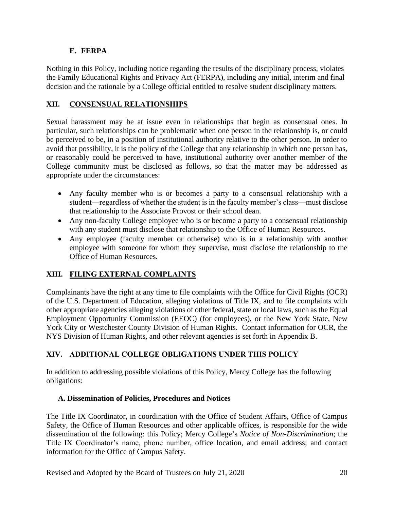### **E. FERPA**

Nothing in this Policy, including notice regarding the results of the disciplinary process, violates the Family Educational Rights and Privacy Act (FERPA), including any initial, interim and final decision and the rationale by a College official entitled to resolve student disciplinary matters.

### **XII. CONSENSUAL RELATIONSHIPS**

Sexual harassment may be at issue even in relationships that begin as consensual ones. In particular, such relationships can be problematic when one person in the relationship is, or could be perceived to be, in a position of institutional authority relative to the other person. In order to avoid that possibility, it is the policy of the College that any relationship in which one person has, or reasonably could be perceived to have, institutional authority over another member of the College community must be disclosed as follows, so that the matter may be addressed as appropriate under the circumstances:

- Any faculty member who is or becomes a party to a consensual relationship with a student—regardless of whether the student is in the faculty member's class—must disclose that relationship to the Associate Provost or their school dean.
- Any non-faculty College employee who is or become a party to a consensual relationship with any student must disclose that relationship to the Office of Human Resources.
- Any employee (faculty member or otherwise) who is in a relationship with another employee with someone for whom they supervise, must disclose the relationship to the Office of Human Resources.

### **XIII. FILING EXTERNAL COMPLAINTS**

Complainants have the right at any time to file complaints with the Office for Civil Rights (OCR) of the U.S. Department of Education, alleging violations of Title IX, and to file complaints with other appropriate agencies alleging violations of other federal, state or local laws, such as the Equal Employment Opportunity Commission (EEOC) (for employees), or the New York State, New York City or Westchester County Division of Human Rights. Contact information for OCR, the NYS Division of Human Rights, and other relevant agencies is set forth in Appendix B.

### **XIV. ADDITIONAL COLLEGE OBLIGATIONS UNDER THIS POLICY**

In addition to addressing possible violations of this Policy, Mercy College has the following obligations:

#### **A. Dissemination of Policies, Procedures and Notices**

The Title IX Coordinator, in coordination with the Office of Student Affairs, Office of Campus Safety, the Office of Human Resources and other applicable offices, is responsible for the wide dissemination of the following: this Policy; Mercy College's *Notice of Non-Discrimination*; the Title IX Coordinator's name, phone number, office location, and email address; and contact information for the Office of Campus Safety.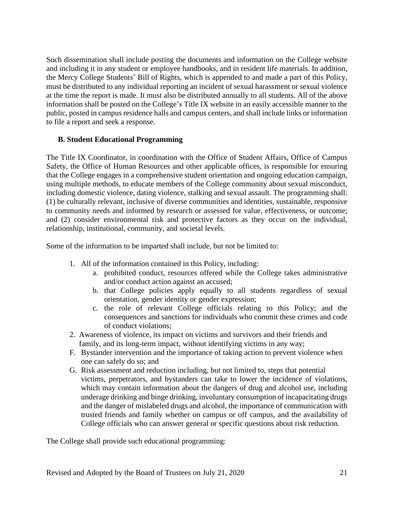Such dissemination shall include posting the documents and information on the College website and including it in any student or employee handbooks, and in resident life materials. In addition, the Mercy College Students' Bill of Rights, which is appended to and made a part of this Policy, must be distributed to any individual reporting an incident of sexual harassment or sexual violence at the time the report is made. It must also be distributed annually to all students. All of the above information shall be posted on the College's Title IX website in an easily accessible manner to the public, posted in campus residence halls and campus centers, and shall include links or information to file a report and seek a response.

#### **B. Student Educational Programming**

The Title IX Coordinator, in coordination with the Office of Student Affairs, Office of Campus Safety, the Office of Human Resources and other applicable offices, is responsible for ensuring that the College engages in a comprehensive student orientation and ongoing education campaign, using multiple methods, to educate members of the College community about sexual misconduct, including domestic violence, dating violence, stalking and sexual assault. The programming shall: (1) be culturally relevant, inclusive of diverse communities and identities, sustainable, responsive to community needs and informed by research or assessed for value, effectiveness, or outcome; and (2) consider environmental risk and protective factors as they occur on the individual, relationship, institutional, community, and societal levels.

Some of the information to be imparted shall include, but not be limited to:

- 1. All of the information contained in this Policy, including:
	- a. prohibited conduct, resources offered while the College takes administrative and/or conduct action against an accused;
	- b. that College policies apply equally to all students regardless of sexual orientation, gender identity or gender expression;
	- c. the role of relevant College officials relating to this Policy; and the consequences and sanctions for individuals who commit these crimes and code of conduct violations;
- 2. Awareness of violence, its impact on victims and survivors and their friends and family, and its long-term impact, without identifying victims in any way;
- F. Bystander intervention and the importance of taking action to prevent violence when one can safely do so; and
- G. Risk assessment and reduction including, but not limited to, steps that potential victims, perpetrators, and bystanders can take to lower the incidence of violations, which may contain information about the dangers of drug and alcohol use, including underage drinking and binge drinking, involuntary consumption of incapacitating drugs and the danger of mislabeled drugs and alcohol, the importance of communication with trusted friends and family whether on campus or off campus, and the availability of College officials who can answer general or specific questions about risk reduction.

The College shall provide such educational programming: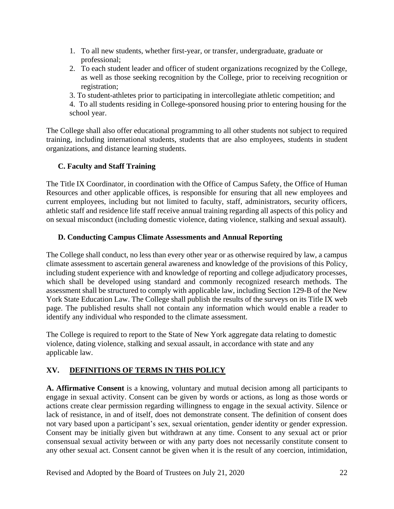- 1. To all new students, whether first-year, or transfer, undergraduate, graduate or professional;
- 2. To each student leader and officer of student organizations recognized by the College, as well as those seeking recognition by the College, prior to receiving recognition or registration;
- 3. To student-athletes prior to participating in intercollegiate athletic competition; and
- 4. To all students residing in College-sponsored housing prior to entering housing for the school year.

The College shall also offer educational programming to all other students not subject to required training, including international students, students that are also employees, students in student organizations, and distance learning students.

### **C. Faculty and Staff Training**

The Title IX Coordinator, in coordination with the Office of Campus Safety, the Office of Human Resources and other applicable offices, is responsible for ensuring that all new employees and current employees, including but not limited to faculty, staff, administrators, security officers, athletic staff and residence life staff receive annual training regarding all aspects of this policy and on sexual misconduct (including domestic violence, dating violence, stalking and sexual assault).

### **D. Conducting Campus Climate Assessments and Annual Reporting**

The College shall conduct, no less than every other year or as otherwise required by law, a campus climate assessment to ascertain general awareness and knowledge of the provisions of this Policy, including student experience with and knowledge of reporting and college adjudicatory processes, which shall be developed using standard and commonly recognized research methods. The assessment shall be structured to comply with applicable law, including Section 129-B of the New York State Education Law. The College shall publish the results of the surveys on its Title IX web page. The published results shall not contain any information which would enable a reader to identify any individual who responded to the climate assessment.

The College is required to report to the State of New York aggregate data relating to domestic violence, dating violence, stalking and sexual assault, in accordance with state and any applicable law.

### **XV. DEFINITIONS OF TERMS IN THIS POLICY**

**A. Affirmative Consent** is a knowing, voluntary and mutual decision among all participants to engage in sexual activity. Consent can be given by words or actions, as long as those words or actions create clear permission regarding willingness to engage in the sexual activity. Silence or lack of resistance, in and of itself, does not demonstrate consent. The definition of consent does not vary based upon a participant's sex, sexual orientation, gender identity or gender expression. Consent may be initially given but withdrawn at any time. Consent to any sexual act or prior consensual sexual activity between or with any party does not necessarily constitute consent to any other sexual act. Consent cannot be given when it is the result of any coercion, intimidation,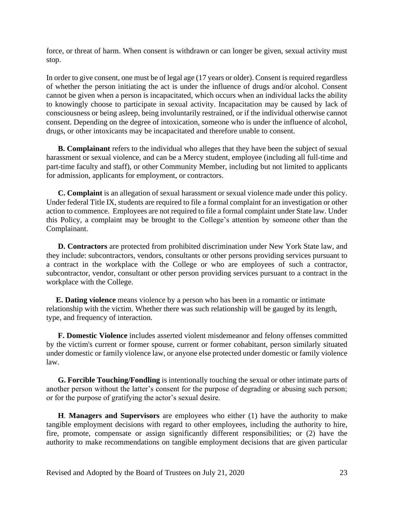force, or threat of harm. When consent is withdrawn or can longer be given, sexual activity must stop.

In order to give consent, one must be of legal age (17 years or older). Consent is required regardless of whether the person initiating the act is under the influence of drugs and/or alcohol. Consent cannot be given when a person is incapacitated, which occurs when an individual lacks the ability to knowingly choose to participate in sexual activity. Incapacitation may be caused by lack of consciousness or being asleep, being involuntarily restrained, or if the individual otherwise cannot consent. Depending on the degree of intoxication, someone who is under the influence of alcohol, drugs, or other intoxicants may be incapacitated and therefore unable to consent.

**B. Complainant** refers to the individual who alleges that they have been the subject of sexual harassment or sexual violence, and can be a Mercy student, employee (including all full-time and part-time faculty and staff), or other Community Member, including but not limited to applicants for admission, applicants for employment, or contractors.

**C. Complaint** is an allegation of sexual harassment or sexual violence made under this policy. Under federal Title IX, students are required to file a formal complaint for an investigation or other action to commence. Employees are not required to file a formal complaint under State law. Under this Policy, a complaint may be brought to the College's attention by someone other than the Complainant.

**D. Contractors** are protected from prohibited discrimination under New York State law, and they include: subcontractors, vendors, consultants or other persons providing services pursuant to a contract in the workplace with the College or who are employees of such a contractor, subcontractor, vendor, consultant or other person providing services pursuant to a contract in the workplace with the College.

 **E. Dating violence** means violence by a person who has been in a romantic or intimate relationship with the victim. Whether there was such relationship will be gauged by its length, type, and frequency of interaction.

**F. Domestic Violence** includes asserted violent misdemeanor and felony offenses committed by the victim's current or former spouse, current or former cohabitant, person similarly situated under domestic or family violence law, or anyone else protected under domestic or family violence law.

**G. Forcible Touching/Fondling** is intentionally touching the sexual or other intimate parts of another person without the latter's consent for the purpose of degrading or abusing such person; or for the purpose of gratifying the actor's sexual desire.

**H**. **Managers and Supervisors** are employees who either (1) have the authority to make tangible employment decisions with regard to other employees, including the authority to hire, fire, promote, compensate or assign significantly different responsibilities; or (2) have the authority to make recommendations on tangible employment decisions that are given particular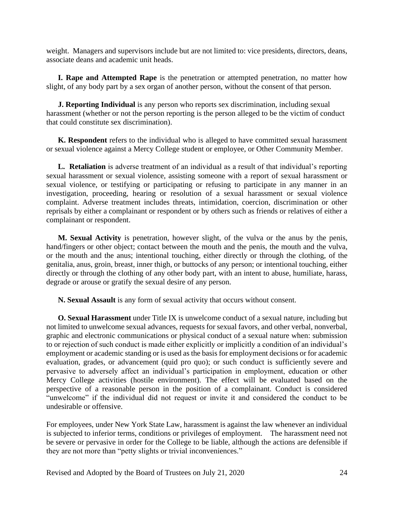weight. Managers and supervisors include but are not limited to: vice presidents, directors, deans, associate deans and academic unit heads.

**I. Rape and Attempted Rape** is the penetration or attempted penetration, no matter how slight, of any body part by a sex organ of another person, without the consent of that person.

 **J. Reporting Individual** is any person who reports sex discrimination, including sexual harassment (whether or not the person reporting is the person alleged to be the victim of conduct that could constitute sex discrimination).

**K. Respondent** refers to the individual who is alleged to have committed sexual harassment or sexual violence against a Mercy College student or employee, or Other Community Member.

**L. Retaliation** is adverse treatment of an individual as a result of that individual's reporting sexual harassment or sexual violence, assisting someone with a report of sexual harassment or sexual violence, or testifying or participating or refusing to participate in any manner in an investigation, proceeding, hearing or resolution of a sexual harassment or sexual violence complaint. Adverse treatment includes threats, intimidation, coercion, discrimination or other reprisals by either a complainant or respondent or by others such as friends or relatives of either a complainant or respondent.

**M. Sexual Activity** is penetration, however slight, of the vulva or the anus by the penis, hand/fingers or other object; contact between the mouth and the penis, the mouth and the vulva, or the mouth and the anus; intentional touching, either directly or through the clothing, of the genitalia, anus, groin, breast, inner thigh, or buttocks of any person; or intentional touching, either directly or through the clothing of any other body part, with an intent to abuse, humiliate, harass, degrade or arouse or gratify the sexual desire of any person.

**N. Sexual Assault** is any form of sexual activity that occurs without consent.

**O. Sexual Harassment** under Title IX is unwelcome conduct of a sexual nature, including but not limited to unwelcome sexual advances, requests for sexual favors, and other verbal, nonverbal, graphic and electronic communications or physical conduct of a sexual nature when: submission to or rejection of such conduct is made either explicitly or implicitly a condition of an individual's employment or academic standing or is used as the basis for employment decisions or for academic evaluation, grades, or advancement (quid pro quo); or such conduct is sufficiently severe and pervasive to adversely affect an individual's participation in employment, education or other Mercy College activities (hostile environment). The effect will be evaluated based on the perspective of a reasonable person in the position of a complainant. Conduct is considered "unwelcome" if the individual did not request or invite it and considered the conduct to be undesirable or offensive.

For employees, under New York State Law, harassment is against the law whenever an individual is subjected to inferior terms, conditions or privileges of employment. The harassment need not be severe or pervasive in order for the College to be liable, although the actions are defensible if they are not more than "petty slights or trivial inconveniences."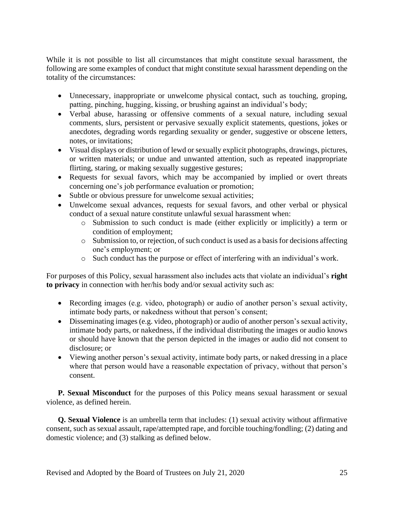While it is not possible to list all circumstances that might constitute sexual harassment, the following are some examples of conduct that might constitute sexual harassment depending on the totality of the circumstances:

- Unnecessary, inappropriate or unwelcome physical contact, such as touching, groping, patting, pinching, hugging, kissing, or brushing against an individual's body;
- Verbal abuse, harassing or offensive comments of a sexual nature, including sexual comments, slurs, persistent or pervasive sexually explicit statements, questions, jokes or anecdotes, degrading words regarding sexuality or gender, suggestive or obscene letters, notes, or invitations;
- Visual displays or distribution of lewd or sexually explicit photographs, drawings, pictures, or written materials; or undue and unwanted attention, such as repeated inappropriate flirting, staring, or making sexually suggestive gestures;
- Requests for sexual favors, which may be accompanied by implied or overt threats concerning one's job performance evaluation or promotion;
- Subtle or obvious pressure for unwelcome sexual activities;
- Unwelcome sexual advances, requests for sexual favors, and other verbal or physical conduct of a sexual nature constitute unlawful sexual harassment when:
	- o Submission to such conduct is made (either explicitly or implicitly) a term or condition of employment;
	- o Submission to, or rejection, of such conduct is used as a basis for decisions affecting one's employment; or
	- o Such conduct has the purpose or effect of interfering with an individual's work.

For purposes of this Policy, sexual harassment also includes acts that violate an individual's **right to privacy** in connection with her/his body and/or sexual activity such as:

- Recording images (e.g. video, photograph) or audio of another person's sexual activity, intimate body parts, or nakedness without that person's consent;
- Disseminating images (e.g. video, photograph) or audio of another person's sexual activity, intimate body parts, or nakedness, if the individual distributing the images or audio knows or should have known that the person depicted in the images or audio did not consent to disclosure; or
- Viewing another person's sexual activity, intimate body parts, or naked dressing in a place where that person would have a reasonable expectation of privacy, without that person's consent.

**P. Sexual Misconduct** for the purposes of this Policy means sexual harassment or sexual violence, as defined herein.

**Q. Sexual Violence** is an umbrella term that includes: (1) sexual activity without affirmative consent, such as sexual assault, rape/attempted rape, and forcible touching/fondling; (2) dating and domestic violence; and (3) stalking as defined below.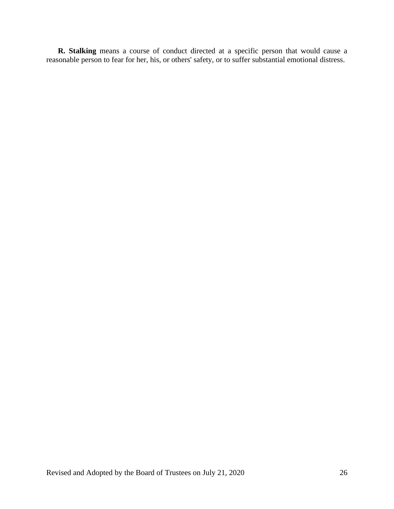**R. Stalking** means a course of conduct directed at a specific person that would cause a reasonable person to fear for her, his, or others' safety, or to suffer substantial emotional distress.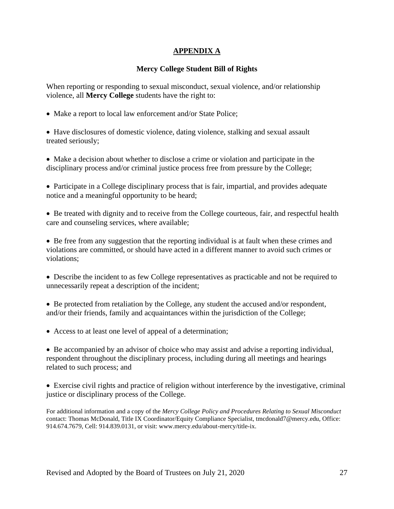### **APPENDIX A**

### **Mercy College Student Bill of Rights**

When reporting or responding to sexual misconduct, sexual violence, and/or relationship violence, all **Mercy College** students have the right to:

• Make a report to local law enforcement and/or State Police;

• Have disclosures of domestic violence, dating violence, stalking and sexual assault treated seriously;

- Make a decision about whether to disclose a crime or violation and participate in the disciplinary process and/or criminal justice process free from pressure by the College;
- Participate in a College disciplinary process that is fair, impartial, and provides adequate notice and a meaningful opportunity to be heard;
- Be treated with dignity and to receive from the College courteous, fair, and respectful health care and counseling services, where available;

• Be free from any suggestion that the reporting individual is at fault when these crimes and violations are committed, or should have acted in a different manner to avoid such crimes or violations;

- Describe the incident to as few College representatives as practicable and not be required to unnecessarily repeat a description of the incident;
- Be protected from retaliation by the College, any student the accused and/or respondent, and/or their friends, family and acquaintances within the jurisdiction of the College;
- Access to at least one level of appeal of a determination;

• Be accompanied by an advisor of choice who may assist and advise a reporting individual, respondent throughout the disciplinary process, including during all meetings and hearings related to such process; and

• Exercise civil rights and practice of religion without interference by the investigative, criminal justice or disciplinary process of the College.

For additional information and a copy of the *Mercy College Policy and Procedures Relating to Sexual Misconduct*  contact: Thomas McDonald, Title IX Coordinator/Equity Compliance Specialist, tmcdonald7@mercy.edu, Office: 914.674.7679, Cell: 914.839.0131, or visit: www.mercy.edu/about-mercy/title-ix.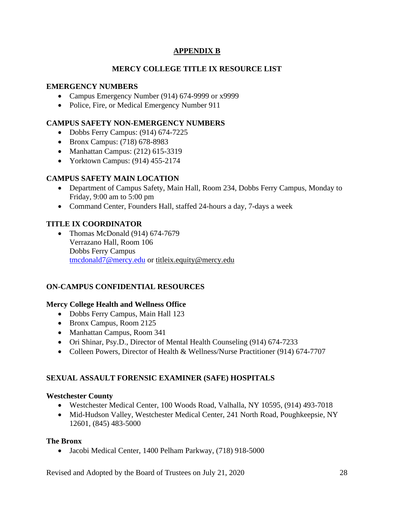### **APPENDIX B**

### **MERCY COLLEGE TITLE IX RESOURCE LIST**

#### **EMERGENCY NUMBERS**

- Campus Emergency Number (914) 674-9999 or x9999
- Police, Fire, or Medical Emergency Number 911

#### **CAMPUS SAFETY NON-EMERGENCY NUMBERS**

- Dobbs Ferry Campus: (914) 674-7225
- Bronx Campus: (718) 678-8983
- Manhattan Campus: (212) 615-3319
- Yorktown Campus: (914) 455-2174

### **CAMPUS SAFETY MAIN LOCATION**

- Department of Campus Safety, Main Hall, Room 234, Dobbs Ferry Campus, Monday to Friday, 9:00 am to 5:00 pm
- Command Center, Founders Hall, staffed 24-hours a day, 7-days a week

#### **TITLE IX COORDINATOR**

• Thomas McDonald (914) 674-7679 Verrazano Hall, Room 106 Dobbs Ferry Campus [tmcdonald7@mercy.edu](mailto:tmcdonald7@mercy.edu) or [titleix.equity@mercy.edu](mailto:titleix.equity@mercy.edu)

#### **ON-CAMPUS CONFIDENTIAL RESOURCES**

#### **Mercy College Health and Wellness Office**

- Dobbs Ferry Campus, Main Hall 123
- Bronx Campus, Room 2125
- Manhattan Campus, Room 341
- Ori Shinar, Psy.D., Director of Mental Health Counseling (914) 674-7233
- Colleen Powers, Director of Health & Wellness/Nurse Practitioner (914) 674-7707

### **SEXUAL ASSAULT FORENSIC EXAMINER (SAFE) HOSPITALS**

#### **Westchester County**

- Westchester Medical Center, 100 Woods Road, Valhalla, NY 10595, (914) 493-7018
- Mid-Hudson Valley, Westchester Medical Center, 241 North Road, Poughkeepsie, NY 12601, (845) 483-5000

#### **The Bronx**

• Jacobi Medical Center, 1400 Pelham Parkway, (718) 918-5000

Revised and Adopted by the Board of Trustees on July 21, 2020 28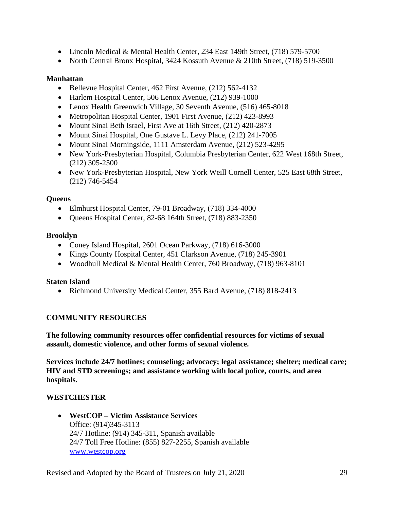- Lincoln Medical & Mental Health Center, 234 East 149th Street, (718) 579-5700
- North Central Bronx Hospital, 3424 Kossuth Avenue & 210th Street, (718) 519-3500

#### **Manhattan**

- Bellevue Hospital Center, 462 First Avenue, (212) 562-4132
- Harlem Hospital Center, 506 Lenox Avenue, (212) 939-1000
- Lenox Health Greenwich Village, 30 Seventh Avenue, (516) 465-8018
- Metropolitan Hospital Center, 1901 First Avenue, (212) 42[3](https://profiles.health.ny.gov/hospital/view/102950#ServicesBox)-8993
- Mount Sinai Beth Israel, First Ave at 16th Street, (212) 420-2873
- Mount Sinai Hospital, One Gustave L. Levy Place, (212) 241-7005
- Mount Sinai Morningside, 1111 Amsterdam Avenue, (212) 523-4295
- New York-Presbyterian Hospital, Columbia Presbyterian Center, 622 West 168th Street, (212) 305-2500
- New York-Presbyterian Hospital, New York Weill Cornell Center, 525 East 68th Street, (212) 746-5454

#### **Queens**

- Elmhurst Hospital Center, 79-01 Broadway, (718) 334-4000
- Queens Hospital Center, 82-68 164th Street, (718) 883-2350

#### **Brooklyn**

- Coney Island Hospital, 2601 Ocean Parkway, (718) 616-3000
- Kings County Hospital Center, 451 Clarkson Avenue, (718) 245-3901
- Woodhull Medical & Mental Health Center, 760 Broadway, (718) 963-8101

#### **Staten Island**

• Richmond University Medical Center, 355 Bard Avenue, (718) 818-2413

### **COMMUNITY RESOURCES**

**The following community resources offer confidential resources for victims of sexual assault, domestic violence, and other forms of sexual violence.** 

**Services include 24/7 hotlines; counseling; advocacy; legal assistance; shelter; medical care; HIV and STD screenings; and assistance working with local police, courts, and area hospitals.** 

### **WESTCHESTER**

• **WestCOP – Victim Assistance Services** Office: (914)345-3113 24/7 Hotline: (914) 345-311, Spanish available 24/7 Toll Free Hotline: (855) 827-2255, Spanish available [www.westcop.org](http://www.westcop.org/)

Revised and Adopted by the Board of Trustees on July 21, 2020 29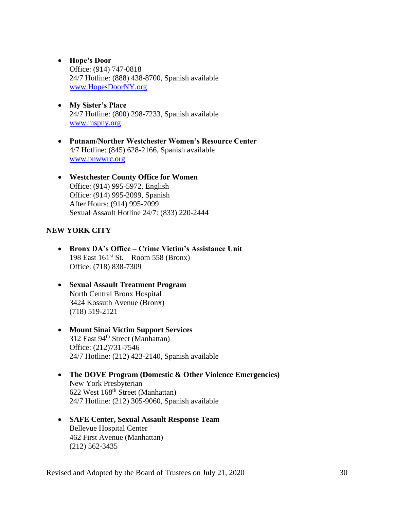- **Hope's Door**  Office: (914) 747-0818 24/7 Hotline: (888) 438-8700, Spanish available [www.HopesDoorNY.org](http://www.hopesdoorny.org/)
- **My Sister's Place** 24/7 Hotline: (800) 298-7233, Spanish available [www.mspny.org](http://www.mspny.org/)
- **Putnam/Norther Westchester Women's Resource Center** 4/7 Hotline: (845) 628-2166, Spanish available [www.pnwwrc.org](http://www.pnwwrc.org/)
- **Westchester County Office for Women** Office: (914) 995-5972, English Office: (914) 995-2099, Spanish After Hours: (914) 995-2099 Sexual Assault Hotline 24/7: (833) 220-2444

#### **NEW YORK CITY**

- **Bronx DA's Office – Crime Victim's Assistance Unit** 198 East 161st St. – Room 558 (Bronx) Office: (718) 838-7309
- **Sexual Assault Treatment Program** North Central Bronx Hospital 3424 Kossuth Avenue (Bronx) (718) 519-2121
- **Mount Sinai Victim Support Services** 312 East 94<sup>th</sup> Street (Manhattan) Office: (212)731-7546 24/7 Hotline: (212) 423-2140, Spanish available
- **The DOVE Program (Domestic & Other Violence Emergencies)** New York Presbyterian 622 West 168th Street (Manhattan) 24/7 Hotline: (212) 305-9060, Spanish available
- **SAFE Center, Sexual Assault Response Team** Bellevue Hospital Center 462 First Avenue (Manhattan) (212) 562-3435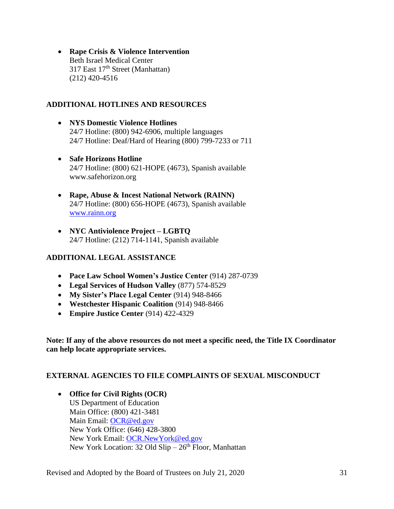• **Rape Crisis & Violence Intervention** Beth Israel Medical Center 317 East 17<sup>th</sup> Street (Manhattan) (212) 420-4516

### **ADDITIONAL HOTLINES AND RESOURCES**

- **NYS Domestic Violence Hotlines** 24/7 Hotline: (800) 942-6906, multiple languages 24/7 Hotline: Deaf/Hard of Hearing (800) 799-7233 or 711
- **Safe Horizons Hotline** 24/7 Hotline: (800) 621-HOPE (4673), Spanish available www.safehorizon.org
- **Rape, Abuse & Incest National Network (RAINN)** 24/7 Hotline: (800) 656-HOPE (4673), Spanish available [www.rainn.org](http://www.rainn.org/)
- **NYC Antiviolence Project – LGBTQ**  24/7 Hotline: (212) 714-1141, Spanish available

### **ADDITIONAL LEGAL ASSISTANCE**

- **Pace Law School Women's Justice Center** (914) 287-0739
- **Legal Services of Hudson Valley** (877) 574-8529
- **My Sister's Place Legal Center** (914) 948-8466
- **Westchester Hispanic Coalition** (914) 948-8466
- **Empire Justice Center** (914) 422-4329

**Note: If any of the above resources do not meet a specific need, the Title IX Coordinator can help locate appropriate services.**

#### **EXTERNAL AGENCIES TO FILE COMPLAINTS OF SEXUAL MISCONDUCT**

• **Office for Civil Rights (OCR)** US Department of Education Main Office: (800) 421-3481 Main Email: [OCR@ed.gov](mailto:OCR@ed.gov) New York Office: (646) 428-3800 New York Email: [OCR.NewYork@ed.gov](mailto:OCR.NewYork@ed.gov) New York Location: 32 Old  $Slip - 26<sup>th</sup>$  Floor, Manhattan